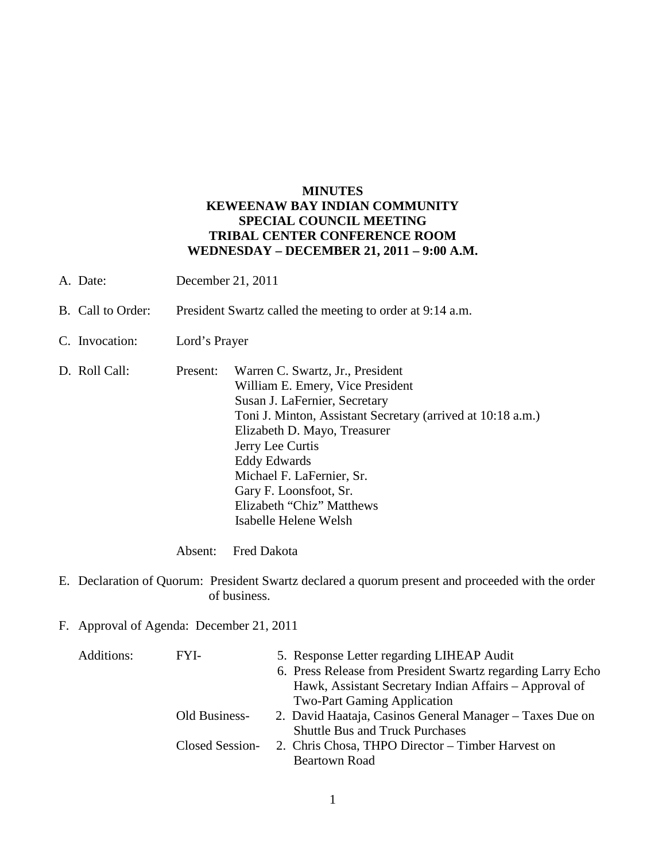## **MINUTES KEWEENAW BAY INDIAN COMMUNITY SPECIAL COUNCIL MEETING TRIBAL CENTER CONFERENCE ROOM WEDNESDAY – DECEMBER 21, 2011 – 9:00 A.M.**

- A. Date: December 21, 2011
- B. Call to Order: President Swartz called the meeting to order at 9:14 a.m.
- C. Invocation: Lord's Prayer
- D. Roll Call: Present: Warren C. Swartz, Jr., President William E. Emery, Vice President Susan J. LaFernier, Secretary Toni J. Minton, Assistant Secretary (arrived at 10:18 a.m.) Elizabeth D. Mayo, Treasurer Jerry Lee Curtis Eddy Edwards Michael F. LaFernier, Sr. Gary F. Loonsfoot, Sr. Elizabeth "Chiz" Matthews Isabelle Helene Welsh

Absent: Fred Dakota

- E. Declaration of Quorum: President Swartz declared a quorum present and proceeded with the order of business.
- F. Approval of Agenda: December 21, 2011

| Additions: | FYI-            | 5. Response Letter regarding LIHEAP Audit                   |
|------------|-----------------|-------------------------------------------------------------|
|            |                 | 6. Press Release from President Swartz regarding Larry Echo |
|            |                 | Hawk, Assistant Secretary Indian Affairs – Approval of      |
|            |                 | <b>Two-Part Gaming Application</b>                          |
|            | Old Business-   | 2. David Haataja, Casinos General Manager – Taxes Due on    |
|            |                 | <b>Shuttle Bus and Truck Purchases</b>                      |
|            | Closed Session- | 2. Chris Chosa, THPO Director – Timber Harvest on           |
|            |                 | Beartown Road                                               |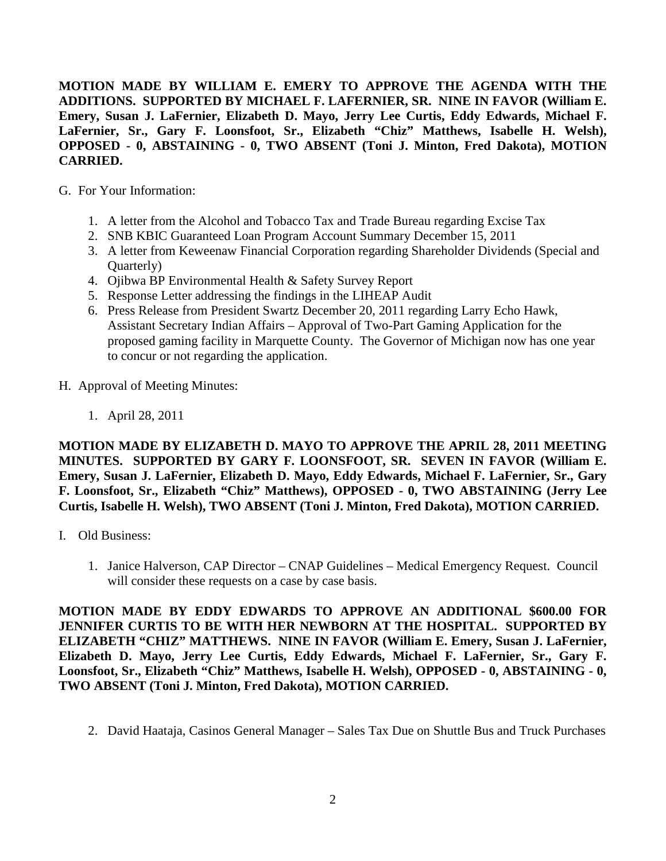**MOTION MADE BY WILLIAM E. EMERY TO APPROVE THE AGENDA WITH THE ADDITIONS. SUPPORTED BY MICHAEL F. LAFERNIER, SR. NINE IN FAVOR (William E. Emery, Susan J. LaFernier, Elizabeth D. Mayo, Jerry Lee Curtis, Eddy Edwards, Michael F. LaFernier, Sr., Gary F. Loonsfoot, Sr., Elizabeth "Chiz" Matthews, Isabelle H. Welsh), OPPOSED - 0, ABSTAINING - 0, TWO ABSENT (Toni J. Minton, Fred Dakota), MOTION CARRIED.**

- G. For Your Information:
	- 1. A letter from the Alcohol and Tobacco Tax and Trade Bureau regarding Excise Tax
	- 2. SNB KBIC Guaranteed Loan Program Account Summary December 15, 2011
	- 3. A letter from Keweenaw Financial Corporation regarding Shareholder Dividends (Special and Quarterly)
	- 4. Ojibwa BP Environmental Health & Safety Survey Report
	- 5. Response Letter addressing the findings in the LIHEAP Audit
	- 6. Press Release from President Swartz December 20, 2011 regarding Larry Echo Hawk, Assistant Secretary Indian Affairs – Approval of Two-Part Gaming Application for the proposed gaming facility in Marquette County. The Governor of Michigan now has one year to concur or not regarding the application.
- H. Approval of Meeting Minutes:
	- 1. April 28, 2011

**MOTION MADE BY ELIZABETH D. MAYO TO APPROVE THE APRIL 28, 2011 MEETING MINUTES. SUPPORTED BY GARY F. LOONSFOOT, SR. SEVEN IN FAVOR (William E. Emery, Susan J. LaFernier, Elizabeth D. Mayo, Eddy Edwards, Michael F. LaFernier, Sr., Gary F. Loonsfoot, Sr., Elizabeth "Chiz" Matthews), OPPOSED - 0, TWO ABSTAINING (Jerry Lee Curtis, Isabelle H. Welsh), TWO ABSENT (Toni J. Minton, Fred Dakota), MOTION CARRIED.**

- I. Old Business:
	- 1. Janice Halverson, CAP Director CNAP Guidelines Medical Emergency Request. Council will consider these requests on a case by case basis.

**MOTION MADE BY EDDY EDWARDS TO APPROVE AN ADDITIONAL \$600.00 FOR JENNIFER CURTIS TO BE WITH HER NEWBORN AT THE HOSPITAL. SUPPORTED BY ELIZABETH "CHIZ" MATTHEWS. NINE IN FAVOR (William E. Emery, Susan J. LaFernier, Elizabeth D. Mayo, Jerry Lee Curtis, Eddy Edwards, Michael F. LaFernier, Sr., Gary F. Loonsfoot, Sr., Elizabeth "Chiz" Matthews, Isabelle H. Welsh), OPPOSED - 0, ABSTAINING - 0, TWO ABSENT (Toni J. Minton, Fred Dakota), MOTION CARRIED.**

2. David Haataja, Casinos General Manager – Sales Tax Due on Shuttle Bus and Truck Purchases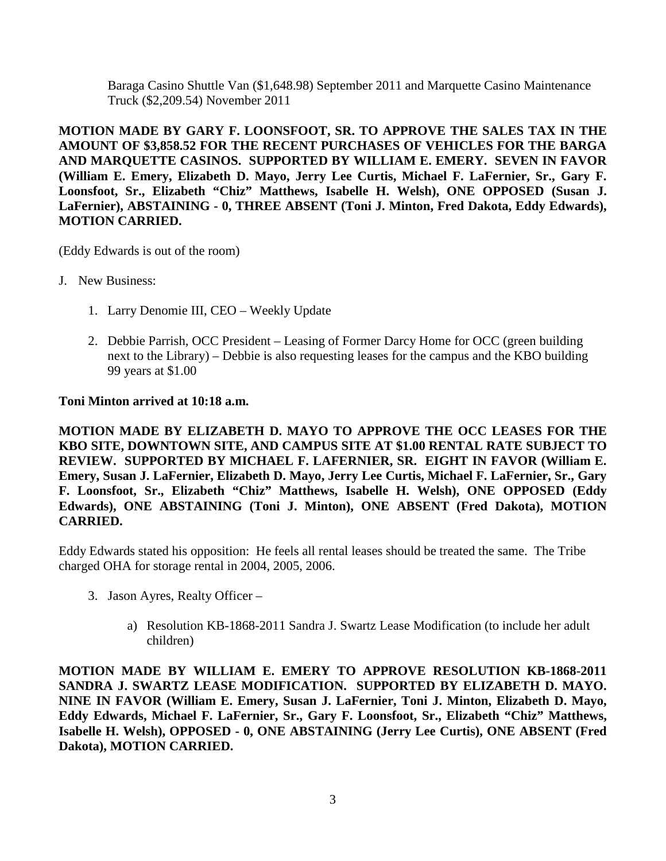Baraga Casino Shuttle Van (\$1,648.98) September 2011 and Marquette Casino Maintenance Truck (\$2,209.54) November 2011

**MOTION MADE BY GARY F. LOONSFOOT, SR. TO APPROVE THE SALES TAX IN THE AMOUNT OF \$3,858.52 FOR THE RECENT PURCHASES OF VEHICLES FOR THE BARGA AND MARQUETTE CASINOS. SUPPORTED BY WILLIAM E. EMERY. SEVEN IN FAVOR (William E. Emery, Elizabeth D. Mayo, Jerry Lee Curtis, Michael F. LaFernier, Sr., Gary F. Loonsfoot, Sr., Elizabeth "Chiz" Matthews, Isabelle H. Welsh), ONE OPPOSED (Susan J. LaFernier), ABSTAINING - 0, THREE ABSENT (Toni J. Minton, Fred Dakota, Eddy Edwards), MOTION CARRIED.**

(Eddy Edwards is out of the room)

- J. New Business:
	- 1. Larry Denomie III, CEO Weekly Update
	- 2. Debbie Parrish, OCC President Leasing of Former Darcy Home for OCC (green building next to the Library) – Debbie is also requesting leases for the campus and the KBO building 99 years at \$1.00

## **Toni Minton arrived at 10:18 a.m.**

**MOTION MADE BY ELIZABETH D. MAYO TO APPROVE THE OCC LEASES FOR THE KBO SITE, DOWNTOWN SITE, AND CAMPUS SITE AT \$1.00 RENTAL RATE SUBJECT TO REVIEW. SUPPORTED BY MICHAEL F. LAFERNIER, SR. EIGHT IN FAVOR (William E. Emery, Susan J. LaFernier, Elizabeth D. Mayo, Jerry Lee Curtis, Michael F. LaFernier, Sr., Gary F. Loonsfoot, Sr., Elizabeth "Chiz" Matthews, Isabelle H. Welsh), ONE OPPOSED (Eddy Edwards), ONE ABSTAINING (Toni J. Minton), ONE ABSENT (Fred Dakota), MOTION CARRIED.**

Eddy Edwards stated his opposition: He feels all rental leases should be treated the same. The Tribe charged OHA for storage rental in 2004, 2005, 2006.

- 3. Jason Ayres, Realty Officer
	- a) Resolution KB-1868-2011 Sandra J. Swartz Lease Modification (to include her adult children)

**MOTION MADE BY WILLIAM E. EMERY TO APPROVE RESOLUTION KB-1868-2011 SANDRA J. SWARTZ LEASE MODIFICATION. SUPPORTED BY ELIZABETH D. MAYO. NINE IN FAVOR (William E. Emery, Susan J. LaFernier, Toni J. Minton, Elizabeth D. Mayo, Eddy Edwards, Michael F. LaFernier, Sr., Gary F. Loonsfoot, Sr., Elizabeth "Chiz" Matthews, Isabelle H. Welsh), OPPOSED - 0, ONE ABSTAINING (Jerry Lee Curtis), ONE ABSENT (Fred Dakota), MOTION CARRIED.**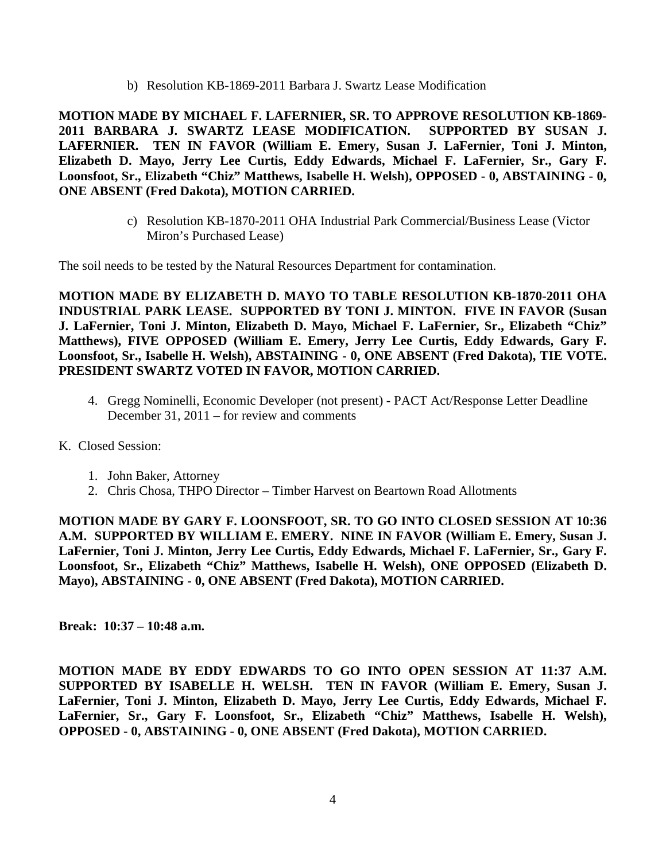b) Resolution KB-1869-2011 Barbara J. Swartz Lease Modification

**MOTION MADE BY MICHAEL F. LAFERNIER, SR. TO APPROVE RESOLUTION KB-1869- 2011 BARBARA J. SWARTZ LEASE MODIFICATION. SUPPORTED BY SUSAN J. LAFERNIER. TEN IN FAVOR (William E. Emery, Susan J. LaFernier, Toni J. Minton, Elizabeth D. Mayo, Jerry Lee Curtis, Eddy Edwards, Michael F. LaFernier, Sr., Gary F. Loonsfoot, Sr., Elizabeth "Chiz" Matthews, Isabelle H. Welsh), OPPOSED - 0, ABSTAINING - 0, ONE ABSENT (Fred Dakota), MOTION CARRIED.**

> c) Resolution KB-1870-2011 OHA Industrial Park Commercial/Business Lease (Victor Miron's Purchased Lease)

The soil needs to be tested by the Natural Resources Department for contamination.

**MOTION MADE BY ELIZABETH D. MAYO TO TABLE RESOLUTION KB-1870-2011 OHA INDUSTRIAL PARK LEASE. SUPPORTED BY TONI J. MINTON. FIVE IN FAVOR (Susan J. LaFernier, Toni J. Minton, Elizabeth D. Mayo, Michael F. LaFernier, Sr., Elizabeth "Chiz" Matthews), FIVE OPPOSED (William E. Emery, Jerry Lee Curtis, Eddy Edwards, Gary F. Loonsfoot, Sr., Isabelle H. Welsh), ABSTAINING - 0, ONE ABSENT (Fred Dakota), TIE VOTE. PRESIDENT SWARTZ VOTED IN FAVOR, MOTION CARRIED.**

- 4. Gregg Nominelli, Economic Developer (not present) PACT Act/Response Letter Deadline December 31, 2011 – for review and comments
- K. Closed Session:
	- 1. John Baker, Attorney
	- 2. Chris Chosa, THPO Director Timber Harvest on Beartown Road Allotments

**MOTION MADE BY GARY F. LOONSFOOT, SR. TO GO INTO CLOSED SESSION AT 10:36 A.M. SUPPORTED BY WILLIAM E. EMERY. NINE IN FAVOR (William E. Emery, Susan J. LaFernier, Toni J. Minton, Jerry Lee Curtis, Eddy Edwards, Michael F. LaFernier, Sr., Gary F. Loonsfoot, Sr., Elizabeth "Chiz" Matthews, Isabelle H. Welsh), ONE OPPOSED (Elizabeth D. Mayo), ABSTAINING - 0, ONE ABSENT (Fred Dakota), MOTION CARRIED.**

**Break: 10:37 – 10:48 a.m.**

**MOTION MADE BY EDDY EDWARDS TO GO INTO OPEN SESSION AT 11:37 A.M. SUPPORTED BY ISABELLE H. WELSH. TEN IN FAVOR (William E. Emery, Susan J. LaFernier, Toni J. Minton, Elizabeth D. Mayo, Jerry Lee Curtis, Eddy Edwards, Michael F. LaFernier, Sr., Gary F. Loonsfoot, Sr., Elizabeth "Chiz" Matthews, Isabelle H. Welsh), OPPOSED - 0, ABSTAINING - 0, ONE ABSENT (Fred Dakota), MOTION CARRIED.**